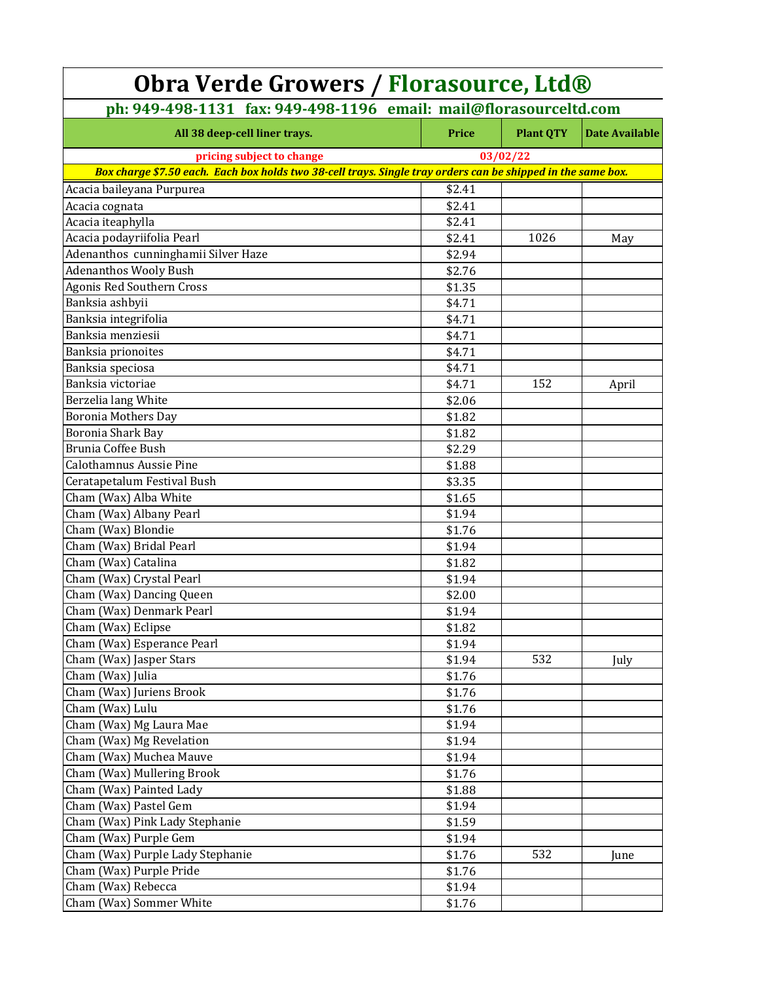| <b>Obra Verde Growers / Florasource, Ltd®</b>                                                                |        |                  |                       |  |  |
|--------------------------------------------------------------------------------------------------------------|--------|------------------|-----------------------|--|--|
| ph: 949-498-1131 fax: 949-498-1196 email: mail@florasourceltd.com                                            |        |                  |                       |  |  |
| All 38 deep-cell liner trays.                                                                                | Price  | <b>Plant QTY</b> | <b>Date Available</b> |  |  |
| pricing subject to change                                                                                    |        | 03/02/22         |                       |  |  |
| Box charge \$7.50 each. Each box holds two 38-cell trays. Single tray orders can be shipped in the same box. |        |                  |                       |  |  |
| Acacia baileyana Purpurea                                                                                    | \$2.41 |                  |                       |  |  |
| Acacia cognata                                                                                               | \$2.41 |                  |                       |  |  |
| Acacia iteaphylla                                                                                            | \$2.41 |                  |                       |  |  |
| Acacia podayriifolia Pearl                                                                                   | \$2.41 | 1026             | May                   |  |  |
| Adenanthos cunninghamii Silver Haze                                                                          | \$2.94 |                  |                       |  |  |
| <b>Adenanthos Wooly Bush</b>                                                                                 | \$2.76 |                  |                       |  |  |
| Agonis Red Southern Cross                                                                                    | \$1.35 |                  |                       |  |  |
| Banksia ashbyii                                                                                              | \$4.71 |                  |                       |  |  |
| Banksia integrifolia                                                                                         | \$4.71 |                  |                       |  |  |
| Banksia menziesii                                                                                            | \$4.71 |                  |                       |  |  |
| Banksia prionoites                                                                                           | \$4.71 |                  |                       |  |  |
| Banksia speciosa                                                                                             | \$4.71 |                  |                       |  |  |
| Banksia victoriae                                                                                            | \$4.71 | 152              | April                 |  |  |
| Berzelia lang White                                                                                          | \$2.06 |                  |                       |  |  |
| <b>Boronia Mothers Day</b>                                                                                   | \$1.82 |                  |                       |  |  |
| Boronia Shark Bay                                                                                            | \$1.82 |                  |                       |  |  |
| Brunia Coffee Bush                                                                                           | \$2.29 |                  |                       |  |  |
| <b>Calothamnus Aussie Pine</b>                                                                               | \$1.88 |                  |                       |  |  |
| Ceratapetalum Festival Bush                                                                                  | \$3.35 |                  |                       |  |  |
| Cham (Wax) Alba White                                                                                        | \$1.65 |                  |                       |  |  |
| Cham (Wax) Albany Pearl                                                                                      | \$1.94 |                  |                       |  |  |
| Cham (Wax) Blondie                                                                                           | \$1.76 |                  |                       |  |  |
| Cham (Wax) Bridal Pearl                                                                                      | \$1.94 |                  |                       |  |  |
| Cham (Wax) Catalina                                                                                          | \$1.82 |                  |                       |  |  |
| Cham (Wax) Crystal Pearl                                                                                     | \$1.94 |                  |                       |  |  |
| Cham (Wax) Dancing Queen                                                                                     | \$2.00 |                  |                       |  |  |
| Cham (Wax) Denmark Pearl                                                                                     | \$1.94 |                  |                       |  |  |
| Cham (Wax) Eclipse                                                                                           | \$1.82 |                  |                       |  |  |
| Cham (Wax) Esperance Pearl                                                                                   | \$1.94 |                  |                       |  |  |
| Cham (Wax) Jasper Stars                                                                                      | \$1.94 | 532              | July                  |  |  |
| Cham (Wax) Julia                                                                                             | \$1.76 |                  |                       |  |  |
| Cham (Wax) Juriens Brook                                                                                     | \$1.76 |                  |                       |  |  |
| Cham (Wax) Lulu                                                                                              | \$1.76 |                  |                       |  |  |
| Cham (Wax) Mg Laura Mae                                                                                      | \$1.94 |                  |                       |  |  |
| Cham (Wax) Mg Revelation                                                                                     | \$1.94 |                  |                       |  |  |
| Cham (Wax) Muchea Mauve                                                                                      | \$1.94 |                  |                       |  |  |
| Cham (Wax) Mullering Brook                                                                                   | \$1.76 |                  |                       |  |  |
| Cham (Wax) Painted Lady                                                                                      | \$1.88 |                  |                       |  |  |
| Cham (Wax) Pastel Gem                                                                                        | \$1.94 |                  |                       |  |  |
| Cham (Wax) Pink Lady Stephanie                                                                               | \$1.59 |                  |                       |  |  |
| Cham (Wax) Purple Gem                                                                                        | \$1.94 |                  |                       |  |  |
| Cham (Wax) Purple Lady Stephanie                                                                             | \$1.76 | 532              | June                  |  |  |
| Cham (Wax) Purple Pride                                                                                      | \$1.76 |                  |                       |  |  |
| Cham (Wax) Rebecca                                                                                           | \$1.94 |                  |                       |  |  |
| Cham (Wax) Sommer White                                                                                      | \$1.76 |                  |                       |  |  |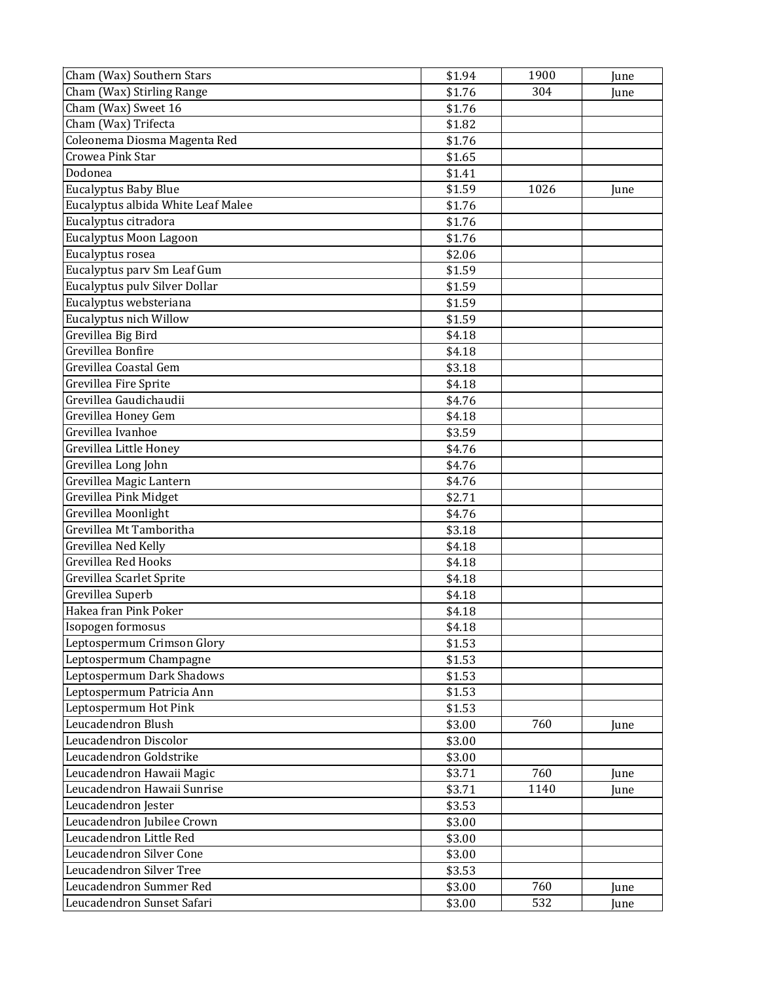| Cham (Wax) Southern Stars          | \$1.94 | 1900 | June |
|------------------------------------|--------|------|------|
| Cham (Wax) Stirling Range          | \$1.76 | 304  | June |
| Cham (Wax) Sweet 16                | \$1.76 |      |      |
| Cham (Wax) Trifecta                | \$1.82 |      |      |
| Coleonema Diosma Magenta Red       | \$1.76 |      |      |
| Crowea Pink Star                   | \$1.65 |      |      |
| Dodonea                            | \$1.41 |      |      |
| <b>Eucalyptus Baby Blue</b>        | \$1.59 | 1026 | June |
| Eucalyptus albida White Leaf Malee | \$1.76 |      |      |
| Eucalyptus citradora               | \$1.76 |      |      |
| Eucalyptus Moon Lagoon             | \$1.76 |      |      |
| Eucalyptus rosea                   | \$2.06 |      |      |
| Eucalyptus parv Sm Leaf Gum        | \$1.59 |      |      |
| Eucalyptus pulv Silver Dollar      | \$1.59 |      |      |
| Eucalyptus websteriana             | \$1.59 |      |      |
| Eucalyptus nich Willow             | \$1.59 |      |      |
| Grevillea Big Bird                 | \$4.18 |      |      |
| Grevillea Bonfire                  | \$4.18 |      |      |
| Grevillea Coastal Gem              | \$3.18 |      |      |
| Grevillea Fire Sprite              | \$4.18 |      |      |
| Grevillea Gaudichaudii             | \$4.76 |      |      |
| Grevillea Honey Gem                | \$4.18 |      |      |
| Grevillea Ivanhoe                  | \$3.59 |      |      |
| Grevillea Little Honey             | \$4.76 |      |      |
| Grevillea Long John                | \$4.76 |      |      |
| Grevillea Magic Lantern            | \$4.76 |      |      |
| <b>Grevillea Pink Midget</b>       | \$2.71 |      |      |
| Grevillea Moonlight                | \$4.76 |      |      |
| Grevillea Mt Tamboritha            | \$3.18 |      |      |
| Grevillea Ned Kelly                | \$4.18 |      |      |
| <b>Grevillea Red Hooks</b>         | \$4.18 |      |      |
| Grevillea Scarlet Sprite           | \$4.18 |      |      |
| Grevillea Superb                   | \$4.18 |      |      |
| Hakea fran Pink Poker              | \$4.18 |      |      |
| Isopogen formosus                  | \$4.18 |      |      |
| Leptospermum Crimson Glory         | \$1.53 |      |      |
| Leptospermum Champagne             | \$1.53 |      |      |
| Leptospermum Dark Shadows          | \$1.53 |      |      |
| Leptospermum Patricia Ann          | \$1.53 |      |      |
| Leptospermum Hot Pink              | \$1.53 |      |      |
| Leucadendron Blush                 | \$3.00 | 760  | June |
| Leucadendron Discolor              | \$3.00 |      |      |
| Leucadendron Goldstrike            | \$3.00 |      |      |
| Leucadendron Hawaii Magic          | \$3.71 | 760  | June |
| Leucadendron Hawaii Sunrise        | \$3.71 | 1140 | June |
| Leucadendron Jester                | \$3.53 |      |      |
| Leucadendron Jubilee Crown         | \$3.00 |      |      |
| Leucadendron Little Red            | \$3.00 |      |      |
| Leucadendron Silver Cone           | \$3.00 |      |      |
| Leucadendron Silver Tree           | \$3.53 |      |      |
| Leucadendron Summer Red            | \$3.00 | 760  | June |
| Leucadendron Sunset Safari         | \$3.00 | 532  | June |